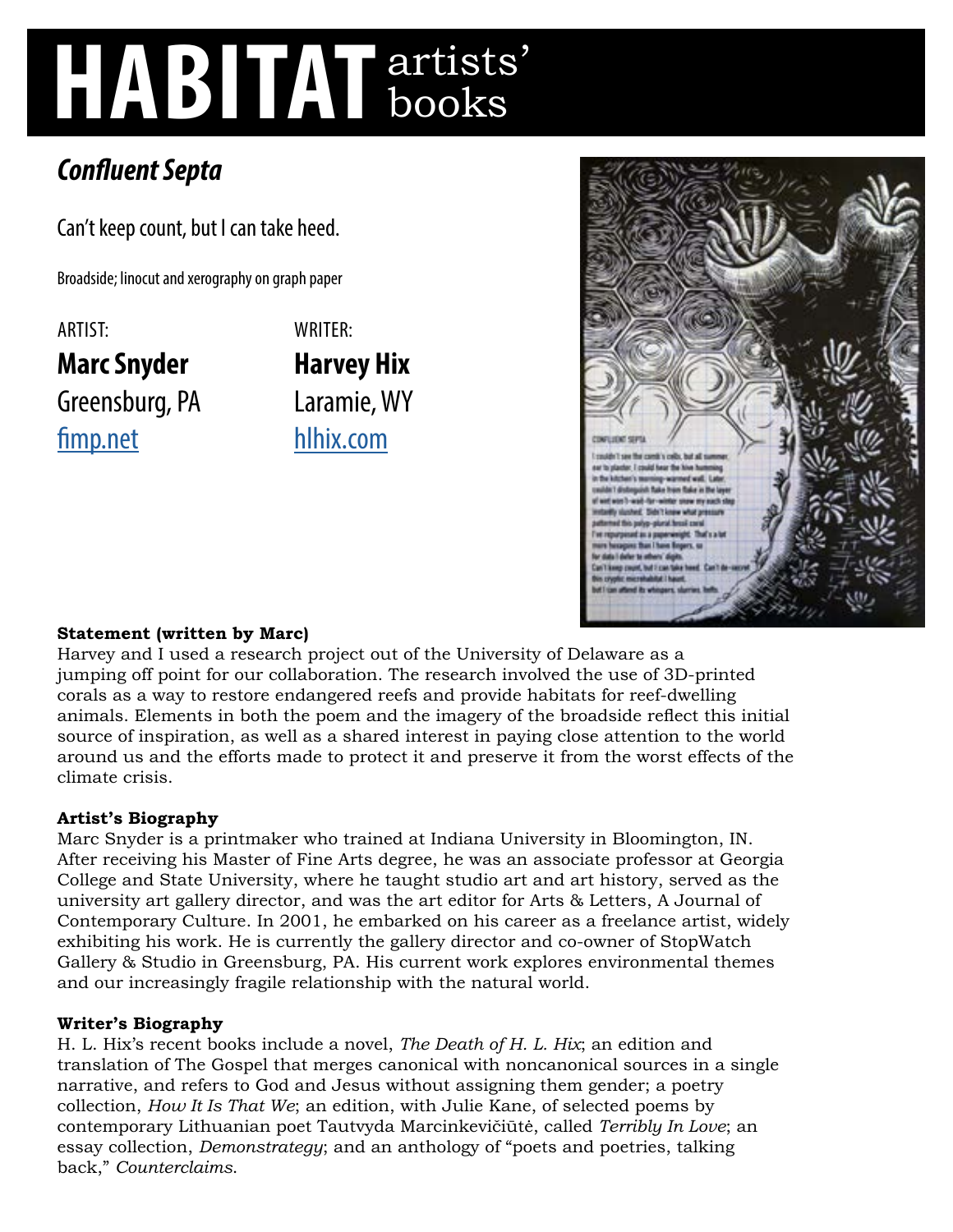# **HABITAT** artists' books

# *Confluent Septa*

Can't keep count, but I can take heed.

Broadside; linocut and xerography on graph paper

ARTIST: **Marc Snyder**  Greensburg, PA [fimp.net](http://fimp.net) WRITER: **Harvey Hix**  Laramie, WY [hlhix.com](http://hlhix.com)



## **Statement (written by Marc)**

Harvey and I used a research project out of the University of Delaware as a jumping off point for our collaboration. The research involved the use of 3D-printed corals as a way to restore endangered reefs and provide habitats for reef-dwelling animals. Elements in both the poem and the imagery of the broadside reflect this initial source of inspiration, as well as a shared interest in paying close attention to the world around us and the efforts made to protect it and preserve it from the worst effects of the climate crisis.

### **Artist's Biography**

Marc Snyder is a printmaker who trained at Indiana University in Bloomington, IN. After receiving his Master of Fine Arts degree, he was an associate professor at Georgia College and State University, where he taught studio art and art history, served as the university art gallery director, and was the art editor for Arts & Letters, A Journal of Contemporary Culture. In 2001, he embarked on his career as a freelance artist, widely exhibiting his work. He is currently the gallery director and co-owner of StopWatch Gallery & Studio in Greensburg, PA. His current work explores environmental themes and our increasingly fragile relationship with the natural world.

### **Writer's Biography**

H. L. Hix's recent books include a novel, *The Death of H. L. Hix*; an edition and translation of The Gospel that merges canonical with noncanonical sources in a single narrative, and refers to God and Jesus without assigning them gender; a poetry collection, *How It Is That We*; an edition, with Julie Kane, of selected poems by contemporary Lithuanian poet Tautvyda Marcinkevičiūtė, called *Terribly In Love*; an essay collection, *Demonstrategy*; and an anthology of "poets and poetries, talking back," *Counterclaims*.